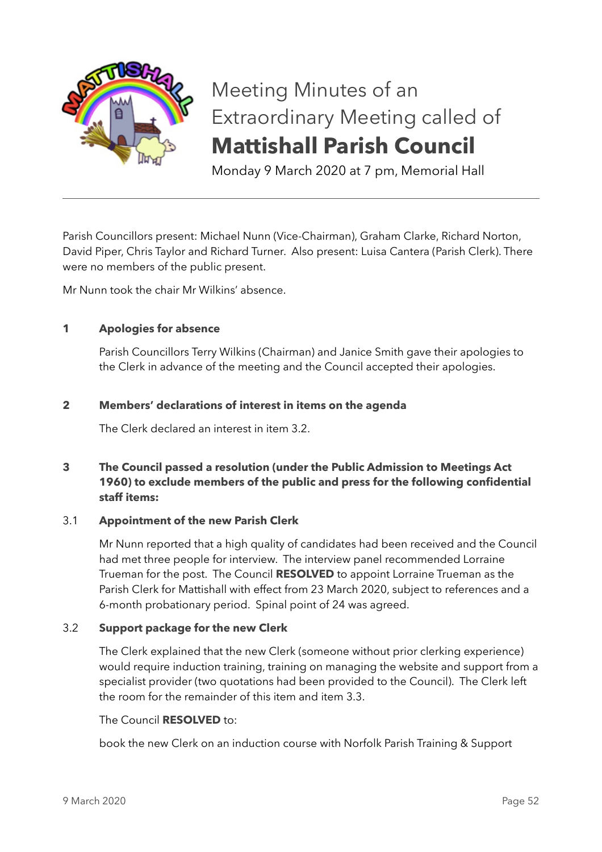

# Meeting Minutes of an Extraordinary Meeting called of **Mattishall Parish Council**

Monday 9 March 2020 at 7 pm, Memorial Hall

Parish Councillors present: Michael Nunn (Vice-Chairman), Graham Clarke, Richard Norton, David Piper, Chris Taylor and Richard Turner. Also present: Luisa Cantera (Parish Clerk). There were no members of the public present.

Mr Nunn took the chair Mr Wilkins' absence.

### **1 Apologies for absence**

Parish Councillors Terry Wilkins (Chairman) and Janice Smith gave their apologies to the Clerk in advance of the meeting and the Council accepted their apologies.

### **2 Members' declarations of interest in items on the agenda**

The Clerk declared an interest in item 3.2.

# **3 The Council passed a resolution (under the Public Admission to Meetings Act 1960) to exclude members of the public and press for the following confidential staff items:**

### 3.1 **Appointment of the new Parish Clerk**

Mr Nunn reported that a high quality of candidates had been received and the Council had met three people for interview. The interview panel recommended Lorraine Trueman for the post. The Council **RESOLVED** to appoint Lorraine Trueman as the Parish Clerk for Mattishall with effect from 23 March 2020, subject to references and a 6-month probationary period. Spinal point of 24 was agreed.

### 3.2 **Support package for the new Clerk**

The Clerk explained that the new Clerk (someone without prior clerking experience) would require induction training, training on managing the website and support from a specialist provider (two quotations had been provided to the Council). The Clerk left the room for the remainder of this item and item 3.3.

#### The Council **RESOLVED** to:

book the new Clerk on an induction course with Norfolk Parish Training & Support